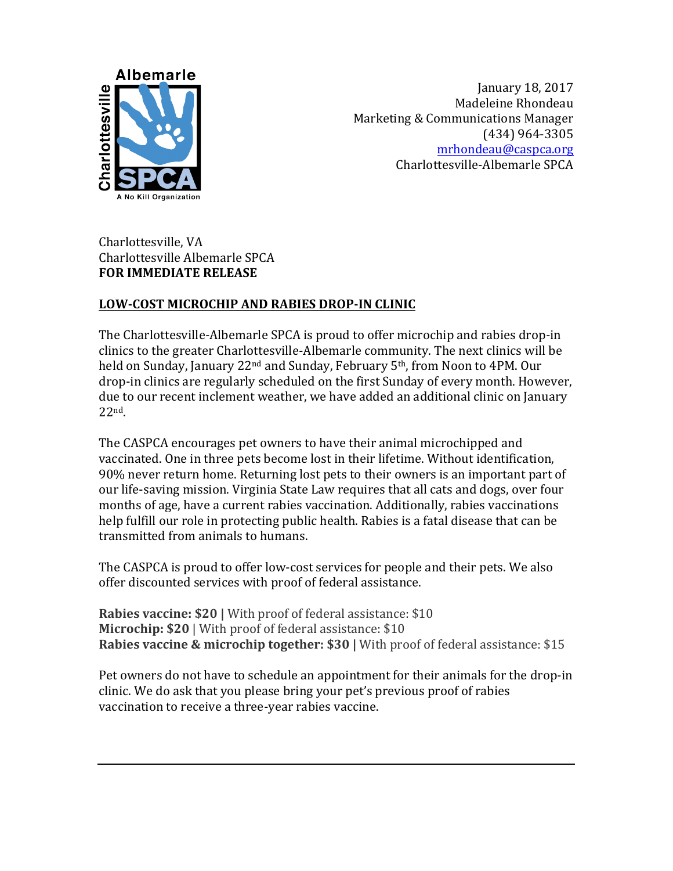

January 18, 2017 Madeleine Rhondeau Marketing & Communications Manager (434) 964-3305 mrhondeau@caspca.org Charlottesville-Albemarle SPCA

Charlottesville, VA Charlottesville Albemarle SPCA **FOR IMMEDIATE RELEASE** 

## **LOW-COST MICROCHIP AND RABIES DROP-IN CLINIC**

The Charlottesville-Albemarle SPCA is proud to offer microchip and rabies drop-in clinics to the greater Charlottesville-Albemarle community. The next clinics will be held on Sunday, January 22<sup>nd</sup> and Sunday, February 5<sup>th</sup>, from Noon to 4PM. Our drop-in clinics are regularly scheduled on the first Sunday of every month. However, due to our recent inclement weather, we have added an additional clinic on January 22nd. 

The CASPCA encourages pet owners to have their animal microchipped and vaccinated. One in three pets become lost in their lifetime. Without identification, 90% never return home. Returning lost pets to their owners is an important part of our life-saving mission. Virginia State Law requires that all cats and dogs, over four months of age, have a current rabies vaccination. Additionally, rabies vaccinations help fulfill our role in protecting public health. Rabies is a fatal disease that can be transmitted from animals to humans.

The CASPCA is proud to offer low-cost services for people and their pets. We also offer discounted services with proof of federal assistance.

**Rabies vaccine: \$20** | With proof of federal assistance: \$10 **Microchip: \$20** | With proof of federal assistance: \$10 **Rabies vaccine & microchip together: \$30 | With proof of federal assistance: \$15** 

Pet owners do not have to schedule an appointment for their animals for the drop-in clinic. We do ask that you please bring your pet's previous proof of rabies vaccination to receive a three-year rabies vaccine.